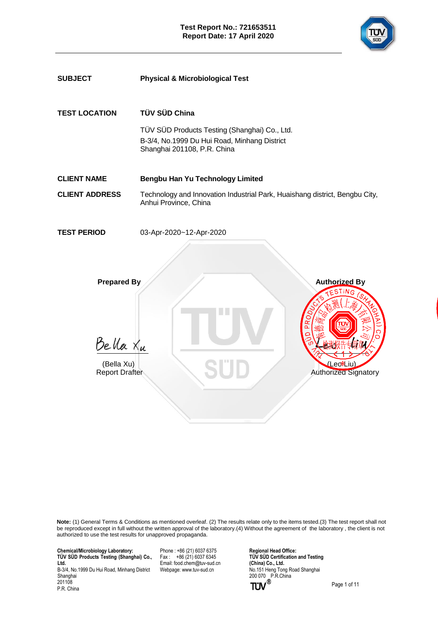

| <b>SUBJECT</b>                                                        | <b>Physical &amp; Microbiological Test</b>                                                                                                    |
|-----------------------------------------------------------------------|-----------------------------------------------------------------------------------------------------------------------------------------------|
| <b>TEST LOCATION</b>                                                  | TÜV SÜD China<br>TÜV SÜD Products Testing (Shanghai) Co., Ltd.<br>B-3/4, No.1999 Du Hui Road, Minhang District<br>Shanghai 201108, P.R. China |
| <b>CLIENT NAME</b>                                                    | Bengbu Han Yu Technology Limited                                                                                                              |
| <b>CLIENT ADDRESS</b>                                                 | Technology and Innovation Industrial Park, Huaishang district, Bengbu City,<br>Anhui Province, China                                          |
| <b>TEST PERIOD</b>                                                    | 03-Apr-2020~12-Apr-2020                                                                                                                       |
| <b>Prepared By</b><br>Bella Xu<br>(Bella Xu)<br><b>Report Drafter</b> | <b>Authorized By</b><br><b>TING</b><br>(LeokLiu)<br><b>Authorized Signatory</b>                                                               |

**Note:** (1) General Terms & Conditions as mentioned overleaf. (2) The results relate only to the items tested.(3) The test report shall not be reproduced except in full without the written approval of the laboratory.(4) Without the agreement of the laboratory , the client is not authorized to use the test results for unapproved propaganda.

 **Chemical/Microbiology Laboratory: TÜ V SÜ D Products Testing (Shanghai) Co., Ltd.** B-3/4, No.1999 Du Hui Road, Minhang District Shanghai

 201108 P.R. China

Phone : +86 (21) 6037 6375 Fax : +86 (21) 6037 6345 Email[: food.chem@tuv-sud.cn](mailto:food.chem@tuv-sud.cn) Webpage[: www.tuv-sud.cn](http://www.tuv-sud.cn/)

**Regional Head Office: TÜ V SÜ D Certification and Testing (China) Co., Ltd.**  No.151 Heng Tong Road Shanghai 200 070 P.R.China

Page 1 of 11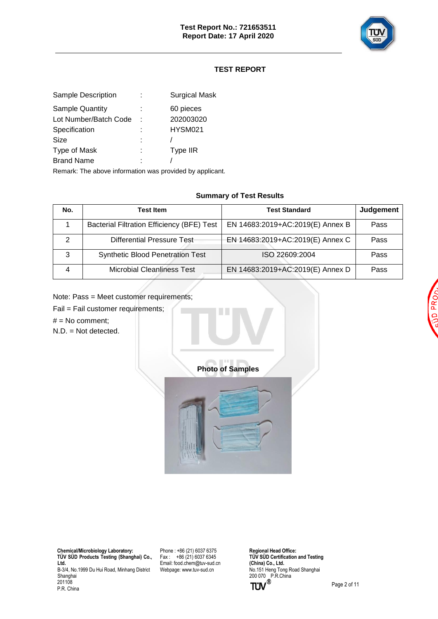

# **TEST REPORT**

| Sample Description     | <b>Surgical Mask</b> |
|------------------------|----------------------|
| <b>Sample Quantity</b> | 60 pieces            |
| Lot Number/Batch Code  | 202003020            |
| Specification          | HYSM021              |
| Size                   |                      |
| Type of Mask           | Type IIR             |
| <b>Brand Name</b>      |                      |
|                        |                      |

Remark: The above information was provided by applicant.

### **Summary of Test Results**

| No. | <b>Test Item</b>                                  | <b>Test Standard</b>             | <b>Judgement</b> |
|-----|---------------------------------------------------|----------------------------------|------------------|
|     | <b>Bacterial Filtration Efficiency (BFE) Test</b> | EN 14683:2019+AC:2019(E) Annex B | Pass             |
|     | Differential Pressure Test-                       | EN 14683:2019+AC:2019(E) Annex C | Pass             |
| 3   | <b>Synthetic Blood Penetration Test</b>           | ISO 22609:2004                   | Pass             |
|     | <b>Microbial Cleanliness Test</b>                 | EN 14683:2019+AC:2019(E) Annex D | Pass             |

Note: Pass = Meet customer requirements;

Fail = Fail customer requirements;

 $#$  = No comment;

N.D. = Not detected.



 **Chemical/Microbiology Laboratory: TÜ V SÜ D Products Testing (Shanghai) Co., Ltd.** B-3/4, No.1999 Du Hui Road, Minhang District Shanghai 201108 P.R. China

Phone : +86 (21) 6037 6375 Fax :  $+86(21)60376345$ Email[: food.chem@tuv-sud.cn](mailto:food.chem@tuv-sud.cn) Webpage[: www.tuv-sud.cn](http://www.tuv-sud.cn/)

**Regional Head Office: TÜV SÜD Certification and Testing (China) Co., Ltd.**  No.151 Heng Tong Road Shanghai 200 070 P.R.China

P<sub>R</sub> Ō

Page 2 of 11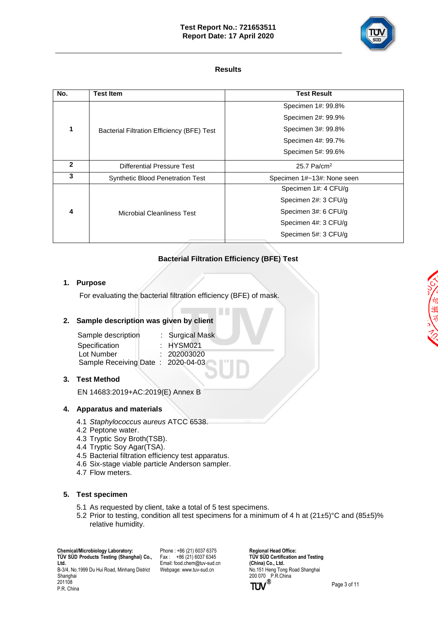## **Test Report No.: 721653511 Report Date: 17 April 2020**



## **Results**

| <b>Test Item</b>                           | <b>Test Result</b>         |  |
|--------------------------------------------|----------------------------|--|
|                                            | Specimen 1#: 99.8%         |  |
|                                            | Specimen 2#: 99.9%         |  |
| Bacterial Filtration Efficiency (BFE) Test | Specimen 3#: 99.8%         |  |
|                                            | Specimen 4#: 99.7%         |  |
|                                            | Specimen 5#: 99.6%         |  |
| Differential Pressure Test                 | 25.7 Pa/cm <sup>2</sup>    |  |
| <b>Synthetic Blood Penetration Test</b>    | Specimen 1#~13#: None seen |  |
|                                            | Specimen 1#: 4 CFU/g       |  |
|                                            | Specimen 2#: 3 CFU/g       |  |
| Microbial Cleanliness Test                 | Specimen 3#: 6 CFU/g       |  |
|                                            | Specimen 4#: 3 CFU/g       |  |
|                                            | Specimen 5#: 3 CFU/g       |  |
|                                            |                            |  |

# **Bacterial Filtration Efficiency (BFE) Test**

## **1. Purpose**

For evaluating the bacterial filtration efficiency (BFE) of mask.

## **2. Sample description was given by client**

| Sample description                | : Surgical Mask |
|-----------------------------------|-----------------|
| Specification                     | $:$ HYSM021     |
| Lot Number                        | : 202003020     |
| Sample Receiving Date: 2020-04-03 |                 |

## **3. Test Method**

EN 14683:2019+AC:2019(E) Annex B

## **4. Apparatus and materials**

- 4.1 *Staphylococcus aureus* ATCC 6538.
- 4.2 Peptone water.
- 4.3 Tryptic Soy Broth(TSB).
- 4.4 Tryptic Soy Agar(TSA).
- 4.5 Bacterial filtration efficiency test apparatus.
- 4.6 Six-stage viable particle Anderson sampler.
- 4.7 Flow meters.

## **5. Test specimen**

- 5.1 As requested by client, take a total of 5 test specimens.
- 5.2 Prior to testing, condition all test specimens for a minimum of 4 h at  $(21\pm5)$ °C and  $(85\pm5)$ % relative humidity.

 **Chemical/Microbiology Laboratory: TÜ V SÜ D Products Testing (Shanghai) Co., Ltd.** B-3/4, No.1999 Du Hui Road, Minhang District Shanghai 201108

P.R. China

Phone : +86 (21) 6037 6375  $Fax : +86(21)60376345$ Email[: food.chem@tuv-sud.cn](mailto:food.chem@tuv-sud.cn) Webpage[: www.tuv-sud.cn](http://www.tuv-sud.cn/)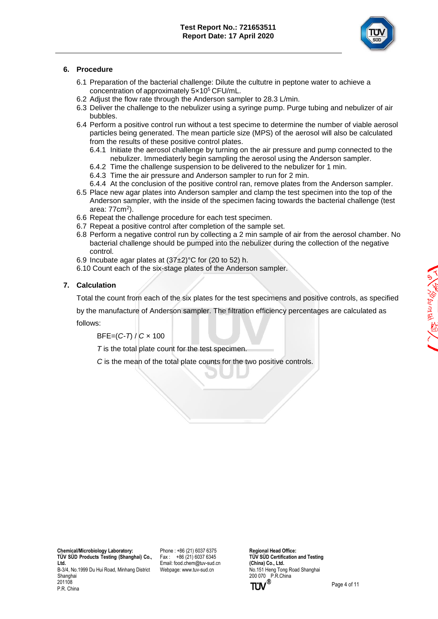

## **6. Procedure**

- 6.1 Preparation of the bacterial challenge: Dilute the cultutre in peptone water to achieve a concentration of approximately 5×10<sup>5</sup> CFU/mL.
- 6.2 Adjust the flow rate through the Anderson sampler to 28.3 L/min.
- 6.3 Deliver the challenge to the nebulizer using a syringe pump. Purge tubing and nebulizer of air bubbles.
- 6.4 Perform a positive control run without a test specime to determine the number of viable aerosol particles being generated. The mean particle size (MPS) of the aerosol will also be calculated from the results of these positive control plates.
	- 6.4.1 Initiate the aerosol challenge by turning on the air pressure and pump connected to the nebulizer. Immediaterly begin sampling the aerosol using the Anderson sampler.
	- 6.4.2 Time the challenge suspension to be delivered to the nebulizer for 1 min.
	- 6.4.3 Time the air pressure and Anderson sampler to run for 2 min.
	- 6.4.4 At the conclusion of the positive control ran, remove plates from the Anderson sampler.
- 6.5 Place new agar plates into Anderson sampler and clamp the test specimen into the top of the Anderson sampler, with the inside of the specimen facing towards the bacterial challenge (test area: 77cm<sup>2</sup>).
- 6.6 Repeat the challenge procedure for each test specimen.
- 6.7 Repeat a positive control after completion of the sample set.
- 6.8 Perform a negative control run by collecting a 2 min sample of air from the aerosol chamber. No bacterial challenge should be pumped into the nebulizer during the collection of the negative control.
- 6.9 Incubate agar plates at  $(37±2)$ °C for (20 to 52) h.
- 6.10 Count each of the six-stage plates of the Anderson sampler.

## **7. Calculation**

Total the count from each of the six plates for the test specimens and positive controls, as specified

by the manufacture of Anderson sampler. The filtration efficiency percentages are calculated as follows:

BFE=(*C-T*) / *C* × 100

*T* is the total plate count for the test specimen.

*C* is the mean of the total plate counts for the two positive controls.

 **Chemical/Microbiology Laboratory: TÜ V SÜ D Products Testing (Shanghai) Co., Ltd.** B-3/4, No.1999 Du Hui Road, Minhang District Shanghai 201108

P.R. China

Phone : +86 (21) 6037 6375 Fax : +86 (21) 6037 6345 Email[: food.chem@tuv-sud.cn](mailto:food.chem@tuv-sud.cn) Webpage[: www.tuv-sud.cn](http://www.tuv-sud.cn/)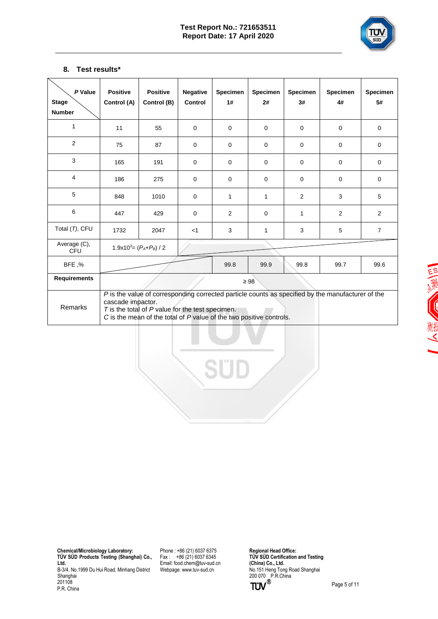

## **8. Test results\***

| P Value<br><b>Stage</b><br><b>Number</b> | <b>Positive</b><br>Control (A)                                                                                                                                                                                                                        | <b>Positive</b><br>Control (B) | <b>Negative</b><br>Control | <b>Specimen</b><br>1# | <b>Specimen</b><br>2# | <b>Specimen</b><br>3# | <b>Specimen</b><br>4# | <b>Specimen</b><br>5# |
|------------------------------------------|-------------------------------------------------------------------------------------------------------------------------------------------------------------------------------------------------------------------------------------------------------|--------------------------------|----------------------------|-----------------------|-----------------------|-----------------------|-----------------------|-----------------------|
| $\mathbf{1}$                             | 11                                                                                                                                                                                                                                                    | 55                             | 0                          | $\mathbf 0$           | $\mathbf 0$           | $\mathbf 0$           | $\mathbf 0$           | $\mathbf 0$           |
| 2                                        | 75                                                                                                                                                                                                                                                    | 87                             | 0                          | $\mathbf 0$           | $\mathbf 0$           | $\mathbf 0$           | $\mathbf 0$           | $\mathbf 0$           |
| 3                                        | 165                                                                                                                                                                                                                                                   | 191                            | $\Omega$                   | $\mathbf 0$           | $\Omega$              | $\mathbf 0$           | $\mathbf 0$           | $\mathbf 0$           |
| $\overline{4}$                           | 186                                                                                                                                                                                                                                                   | 275                            | 0                          | $\mathbf 0$           | $\mathbf 0$           | $\mathbf 0$           | $\mathbf 0$           | $\mathbf 0$           |
| 5                                        | 848                                                                                                                                                                                                                                                   | 1010                           | 0                          | 1                     | 1                     | $\overline{2}$        | 3                     | 5                     |
| 6                                        | 447                                                                                                                                                                                                                                                   | 429                            | $\mathbf 0$                | $\overline{2}$        | $\mathbf 0$           | $\mathbf{1}$          | 2                     | 2                     |
| Total (T), CFU                           | 1732                                                                                                                                                                                                                                                  | 2047                           | $<$ 1                      | 3                     | 1                     | 3                     | 5                     | $\overline{7}$        |
| Average (C),<br>CFU                      |                                                                                                                                                                                                                                                       | $1.9x10^3 = (P_A + P_B) / 2$   |                            |                       |                       |                       |                       |                       |
| BFE,%                                    |                                                                                                                                                                                                                                                       |                                |                            | 99.8                  | 99.9                  | 99.8                  | 99.7                  | 99.6                  |
| <b>Requirements</b>                      |                                                                                                                                                                                                                                                       |                                |                            |                       | $\geq 98$             |                       |                       |                       |
| Remarks                                  | P is the value of corresponding corrected particle counts as specified by the manufacturer of the<br>cascade impactor.<br>$T$ is the total of $P$ value for the test specimen.<br>C is the mean of the total of P value of the two positive controls. |                                |                            |                       |                       |                       |                       |                       |

三、沙 (川)

 **Chemical/Microbiology Laboratory: TÜ V SÜ D Products Testing (Shanghai) Co., Ltd.** B-3/4, No.1999 Du Hui Road, Minhang District Shanghai 201108 P.R. China

Phone : +86 (21) 6037 6375 Fax : +86 (21) 6037 6345 Email[: food.chem@tuv-sud.cn](mailto:food.chem@tuv-sud.cn) Webpage[: www.tuv-sud.cn](http://www.tuv-sud.cn/)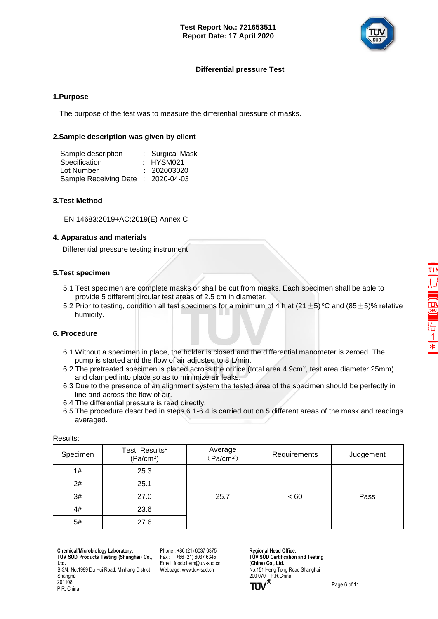

## **Differential pressure Test**

#### **1.Purpose**

The purpose of the test was to measure the differential pressure of masks.

#### **2.Sample description was given by client**

| Sample description                 | : Surgical Mask |
|------------------------------------|-----------------|
| Specification                      | : HYSM021       |
| Lot Number                         | : 202003020     |
| Sample Receiving Date : 2020-04-03 |                 |

### **3.Test Method**

EN 14683:2019+AC:2019(E) Annex C

#### **4. Apparatus and materials**

Differential pressure testing instrument

#### **5.Test specimen**

- 5.1 Test specimen are complete masks or shall be cut from masks. Each specimen shall be able to provide 5 different circular test areas of 2.5 cm in diameter.
- 5.2 Prior to testing, condition all test specimens for a minimum of 4 h at (21  $\pm$  5) °C and (85  $\pm$  5)% relative humidity.

#### **6. Procedure**

- 6.1 Without a specimen in place, the holder is closed and the differential manometer is zeroed. The pump is started and the flow of air adjusted to 8 L/min.
- 6.2 The pretreated specimen is placed across the orifice (total area 4.9cm<sup>2</sup> , test area diameter 25mm) and clamped into place so as to minimize air leaks.
	- 6.3 Due to the presence of an alignment system the tested area of the specimen should be perfectly in line and across the flow of air.
	- 6.4 The differential pressure is read directly.
	- 6.5 The procedure described in steps 6.1-6.4 is carried out on 5 different areas of the mask and readings averaged.

| .        |                                        |                                  |              |           |
|----------|----------------------------------------|----------------------------------|--------------|-----------|
| Specimen | Test Results*<br>(Pa/cm <sup>2</sup> ) | Average<br>(Pa/cm <sup>2</sup> ) | Requirements | Judgement |
| 1#       | 25.3                                   |                                  |              |           |
| 2#       | 25.1                                   |                                  |              |           |
| 3#       | 27.0                                   | 25.7                             | ~< 60        | Pass      |
| 4#       | 23.6                                   |                                  |              |           |
| 5#       | 27.6                                   |                                  |              |           |

Results:

 **Chemical/Microbiology Laboratory: TÜ V SÜ D Products Testing (Shanghai) Co., Ltd.**

B-3/4, No.1999 Du Hui Road, Minhang District Phone : +86 (21) 6037 6375  $Fax : +86(21)60376345$ Email[: food.chem@tuv-sud.cn](mailto:food.chem@tuv-sud.cn) Webpage[: www.tuv-sud.cn](http://www.tuv-sud.cn/)

**Regional Head Office: TÜV SÜD Certification and Testing (China) Co., Ltd.**  No.151 Heng Tong Road Shanghai 200 070 P.R.China<br> **TÜV**<sup>®</sup>



Shanghai 201108 P.R. China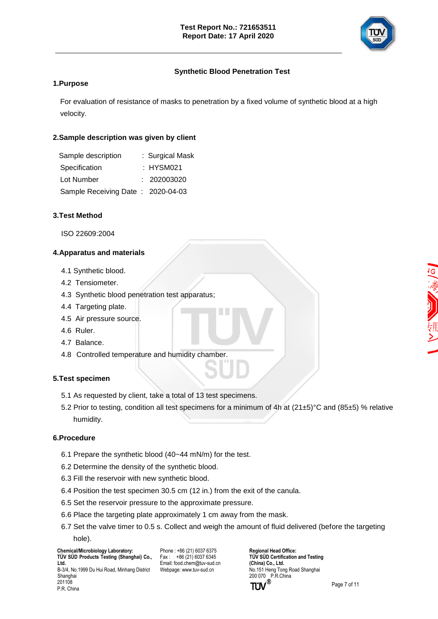

## **Synthetic Blood Penetration Test**

## **1.Purpose**

For evaluation of resistance of masks to penetration by a fixed volume of synthetic blood at a high velocity.

## **2.Sample description was given by client**

| Sample description                | : Surgical Mask |
|-----------------------------------|-----------------|
| Specification                     | : HYSM021       |
| Lot Number                        | : 202003020     |
| Sample Receiving Date: 2020-04-03 |                 |

## **3.Test Method**

ISO 22609:2004

## **4.Apparatus and materials**

- 4.1 Synthetic blood.
- 4.2 Tensiometer.
- 4.3 Synthetic blood penetration test apparatus;
- 4.4 Targeting plate.
- 4.5 Air pressure source.
- 4.6 Ruler.
- 4.7 Balance.
- 4.8 Controlled temperature and humidity chamber.

## **5.Test specimen**

- 5.1 As requested by client, take a total of 13 test specimens.
- 5.2 Prior to testing, condition all test specimens for a minimum of 4h at (21±5)°C and (85±5) % relative humidity.

### **6.Procedure**

P.R. China

- 6.1 Prepare the synthetic blood (40~44 mN/m) for the test.
- 6.2 Determine the density of the synthetic blood.
- 6.3 Fill the reservoir with new synthetic blood.
- 6.4 Position the test specimen 30.5 cm (12 in.) from the exit of the canula.
- 6.5 Set the reservoir pressure to the approximate pressure.
- 6.6 Place the targeting plate approximately 1 cm away from the mask.
- 6.7 Set the valve timer to 0.5 s. Collect and weigh the amount of fluid delivered (before the targeting hole).

 **Chemical/Microbiology Laboratory: TÜ V SÜ D Products Testing (Shanghai) Co., Ltd.** B-3/4, No.1999 Du Hui Road, Minhang District Shanghai 201108

Phone : +86 (21) 6037 6375  $Fax : +86(21)60376345$ Email[: food.chem@tuv-sud.cn](mailto:food.chem@tuv-sud.cn) Webpage[: www.tuv-sud.cn](http://www.tuv-sud.cn/)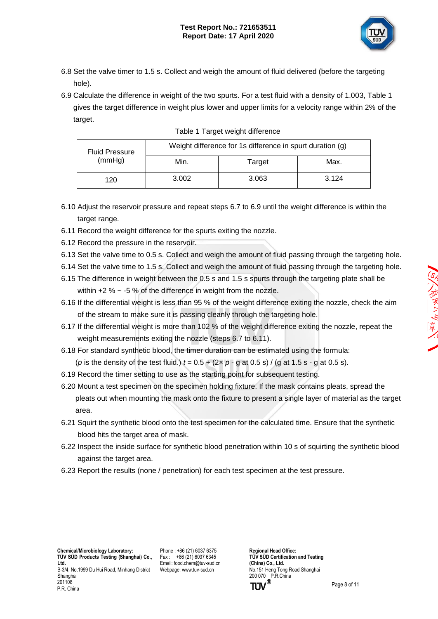

- 6.8 Set the valve timer to 1.5 s. Collect and weigh the amount of fluid delivered (before the targeting hole).
- 6.9 Calculate the difference in weight of the two spurts. For a test fluid with a density of 1.003, Table 1 gives the target difference in weight plus lower and upper limits for a velocity range within 2% of the target.

| <b>Fluid Pressure</b><br>(mmHg) | Weight difference for 1s difference in spurt duration (g) |        |       |  |
|---------------------------------|-----------------------------------------------------------|--------|-------|--|
|                                 | Min.                                                      | Target | Max.  |  |
| 120                             | 3.002                                                     | 3.063  | 3.124 |  |

| Table 1 Target weight difference |  |
|----------------------------------|--|
|                                  |  |

- 6.10 Adjust the reservoir pressure and repeat steps 6.7 to 6.9 until the weight difference is within the target range.
- 6.11 Record the weight difference for the spurts exiting the nozzle.
- 6.12 Record the pressure in the reservoir.
- 6.13 Set the valve time to 0.5 s. Collect and weigh the amount of fluid passing through the targeting hole.
- 6.14 Set the valve time to 1.5 s. Collect and weigh the amount of fluid passing through the targeting hole.
- 6.15 The difference in weight between the 0.5 s and 1.5 s spurts through the targeting plate shall be within  $+2$  %  $\sim$  -5 % of the difference in weight from the nozzle.
- 6.16 If the differential weight is less than 95 % of the weight difference exiting the nozzle, check the aim of the stream to make sure it is passing cleanly through the targeting hole.
- 6.17 If the differential weight is more than 102 % of the weight difference exiting the nozzle, repeat the weight measurements exiting the nozzle (steps 6.7 to 6.11).
- 6.18 For standard synthetic blood, the timer duration can be estimated using the formula: (*p* is the density of the test fluid.)  $t = 0.5 + (2 \times p - q \text{ at } 0.5 \text{ s}) / (q \text{ at } 1.5 \text{ s} - q \text{ at } 0.5 \text{ s}).$
- 6.19 Record the timer setting to use as the starting point for subsequent testing.
- 6.20 Mount a test specimen on the specimen holding fixture. If the mask contains pleats, spread the pleats out when mounting the mask onto the fixture to present a single layer of material as the target area.
- 6.21 Squirt the synthetic blood onto the test specimen for the calculated time. Ensure that the synthetic blood hits the target area of mask.
- 6.22 Inspect the inside surface for synthetic blood penetration within 10 s of squirting the synthetic blood against the target area.
- 6.23 Report the results (none / penetration) for each test specimen at the test pressure.

 **Chemical/Microbiology Laboratory: TÜ V SÜ D Products Testing (Shanghai) Co., Ltd.** B-3/4, No.1999 Du Hui Road, Minhang District Shanghai 201108 P.R. China

Phone : +86 (21) 6037 6375 Fax : +86 (21) 6037 6345 Email[: food.chem@tuv-sud.cn](mailto:food.chem@tuv-sud.cn) Webpage[: www.tuv-sud.cn](http://www.tuv-sud.cn/)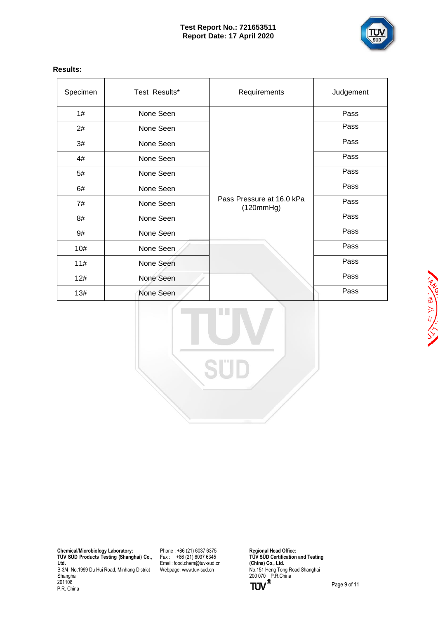

## **Results:**

| Specimen | Test Results* | Requirements                           | Judgement |
|----------|---------------|----------------------------------------|-----------|
| 1#       | None Seen     |                                        | Pass      |
| 2#       | None Seen     |                                        | Pass      |
| 3#       | None Seen     |                                        | Pass      |
| 4#       | None Seen     |                                        | Pass      |
| 5#       | None Seen     |                                        | Pass      |
| 6#       | None Seen     |                                        | Pass      |
| 7#       | None Seen     | Pass Pressure at 16.0 kPa<br>(120mmHg) | Pass      |
| 8#       | None Seen     |                                        | Pass      |
| 9#       | None Seen     |                                        | Pass      |
| 10#      | None Seen     |                                        | Pass      |
| 11#      | None Seen     |                                        | Pass      |
| 12#      | None Seen     |                                        | Pass      |
| 13#      | None Seen     |                                        | Pass      |

 **Chemical/Microbiology Laboratory: TÜ V SÜ D Products Testing (Shanghai) Co., Ltd.** B-3/4, No.1999 Du Hui Road, Minhang District Shanghai 201108 P.R. China

Phone : +86 (21) 6037 6375 Fax : +86 (21) 6037 6345 Email[: food.chem@tuv-sud.cn](mailto:food.chem@tuv-sud.cn) Webpage[: www.tuv-sud.cn](http://www.tuv-sud.cn/)

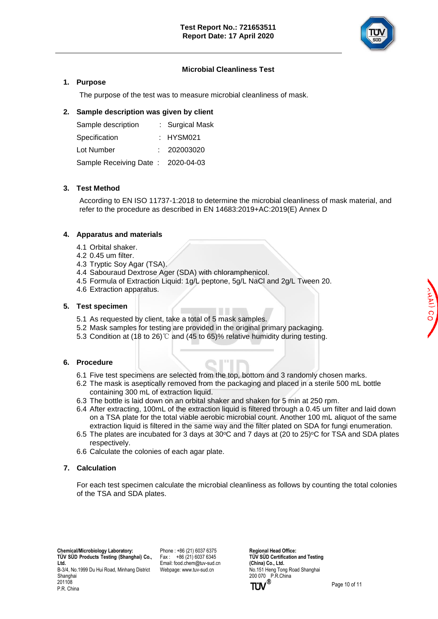

## **Microbial Cleanliness Test**

## **1. Purpose**

The purpose of the test was to measure microbial cleanliness of mask.

## **2. Sample description was given by client**

| Sample description                | : Surgical Mask |
|-----------------------------------|-----------------|
| Specification                     | : HYSM021       |
| Lot Number                        | : 202003020     |
| Sample Receiving Date: 2020-04-03 |                 |

## **3. Test Method**

According to EN ISO 11737-1:2018 to determine the microbial cleanliness of mask material, and refer to the procedure as described in EN 14683:2019+AC:2019(E) Annex D

## **4. Apparatus and materials**

- 4.1 Orbital shaker.
- 4.2 0.45 um filter.
- 4.3 Tryptic Soy Agar (TSA).
- 4.4 Sabouraud Dextrose Ager (SDA) with chloramphenicol.
- 4.5 Formula of Extraction Liquid: 1g/L peptone, 5g/L NaCl and 2g/L Tween 20.
- 4.6 Extraction apparatus.

## **5. Test specimen**

- 5.1 As requested by client, take a total of 5 mask samples.
- 5.2 Mask samples for testing are provided in the original primary packaging.
- 5.3 Condition at (18 to 26)℃ and (45 to 65)% relative humidity during testing.

## **6. Procedure**

- 6.1 Five test specimens are selected from the top, bottom and 3 randomly chosen marks.
- 6.2 The mask is aseptically removed from the packaging and placed in a sterile 500 mL bottle containing 300 mL of extraction liquid.
- 6.3 The bottle is laid down on an orbital shaker and shaken for 5 min at 250 rpm.
- 6.4 After extracting, 100mL of the extraction liquid is filtered through a 0.45 um filter and laid down on a TSA plate for the total viable aerobic microbial count. Another 100 mL aliquot of the same extraction liquid is filtered in the same way and the filter plated on SDA for fungi enumeration.
- 6.5 The plates are incubated for 3 days at 30 $\degree$ C and 7 days at (20 to 25) $\degree$ C for TSA and SDA plates respectively.
- 6.6 Calculate the colonies of each agar plate.

## **7. Calculation**

For each test specimen calculate the microbial cleanliness as follows by counting the total colonies of the TSA and SDA plates.

Phone : +86 (21) 6037 6375 Fax : +86 (21) 6037 6345 Email[: food.chem@tuv-sud.cn](mailto:food.chem@tuv-sud.cn) Webpage[: www.tuv-sud.cn](http://www.tuv-sud.cn/)